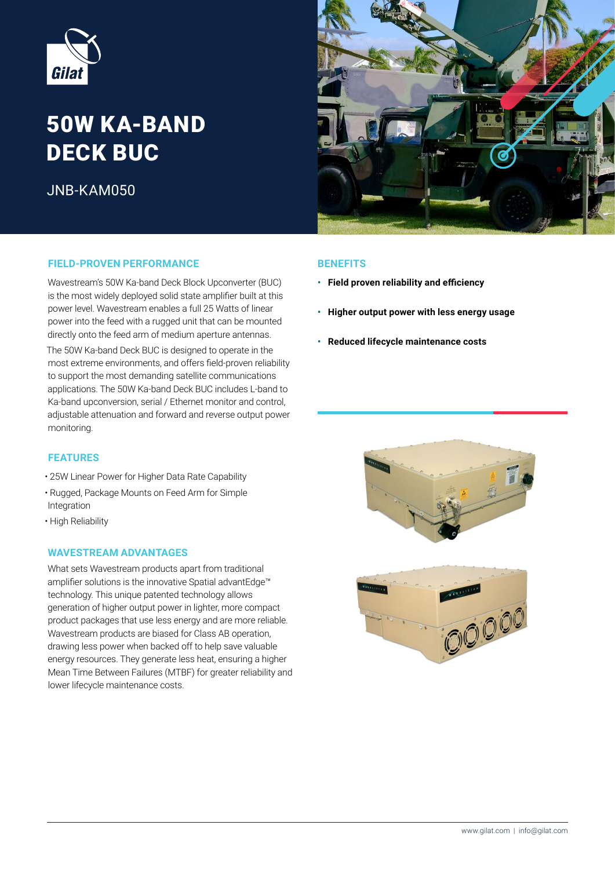

# **50W KA-BAND DECK BUC**

 $JNR-KAM050$ 

# **PIELD-PROVEN-PERFORMANCE BENEFITS**

Wavestream's 50W Ka-band Deck Block Upconverter (BUC) is the most widely deployed solid state amplifier built at this power level. Wavestream enables a full 25 Watts of linear power into the feed with a rugged unit that can be mounted directly onto the feed arm of medium aperture antennas.

The 50W Ka-band Deck BUC is designed to operate in the most extreme environments, and offers field-proven reliability to support the most demanding satellite communications applications. The 50W Ka-band Deck BUC includes L-band to Ka-band upconversion, serial / Ethernet monitor and control, adiustable attenuation and forward and reverse output power .monitoring

# **FEATURES**

- 25W Linear Power for Higher Data Rate Capability
- Rugged, Package Mounts on Feed Arm for Simple Integration
- High Reliability

# **WAVESTREAM ADVANTAGES**

What sets Wavestream products apart from traditional amplifier solutions is the innovative Spatial advantEdge<sup>™</sup> technology. This unique patented technology allows generation of higher output power in lighter, more compact product packages that use less energy and are more reliable. Wavestream products are biased for Class AB operation, drawing less power when backed off to help save valuable energy resources. They generate less heat, ensuring a higher Mean Time Between Failures (MTBF) for greater reliability and lower lifecycle maintenance costs.



- **•** Field proven reliability and efficiency
- **Higher output power with less energy usage**
- **Reduced lifecycle maintenance costs**